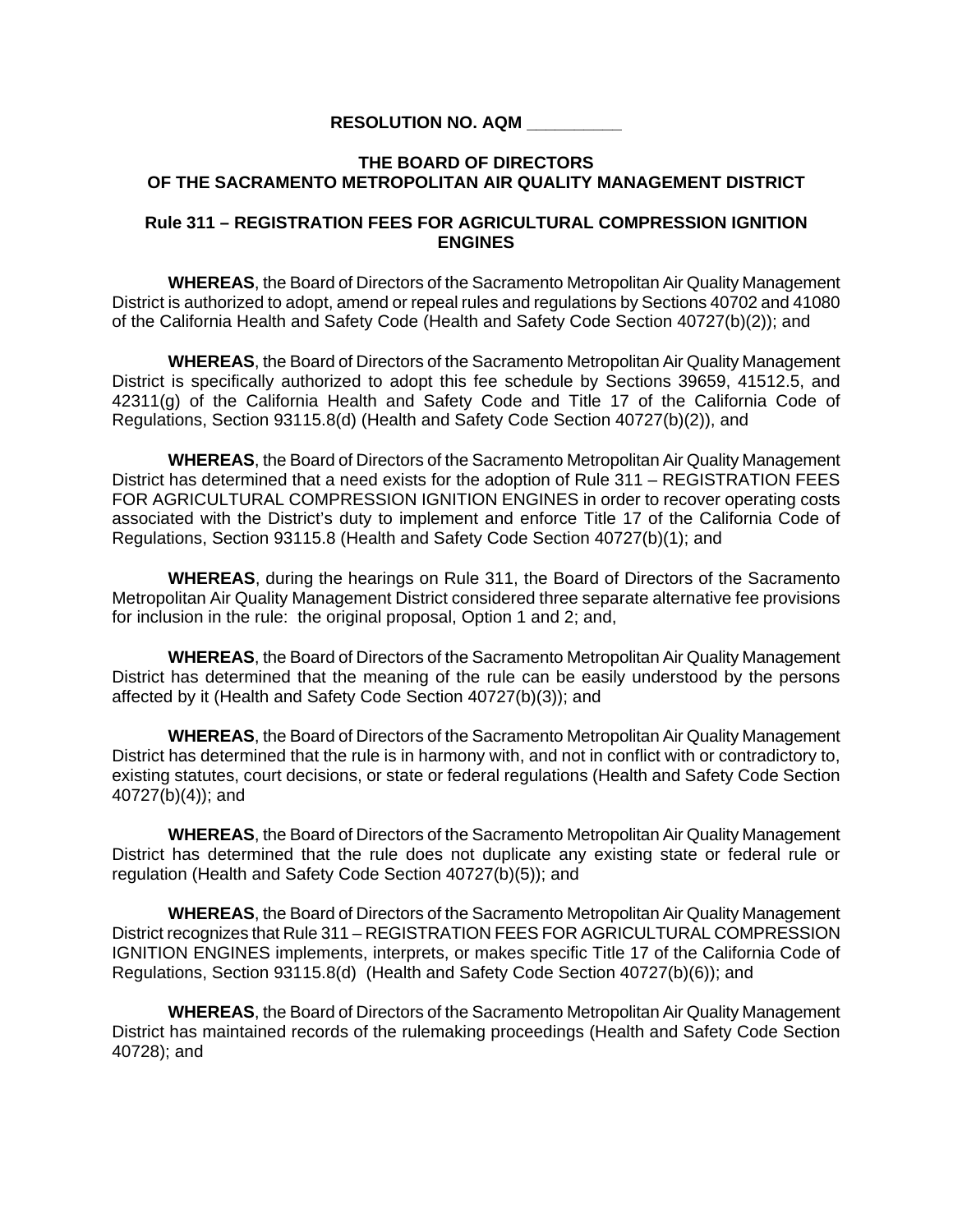## **RESOLUTION NO. AQM \_\_\_\_\_\_\_\_\_\_**

## **THE BOARD OF DIRECTORS OF THE SACRAMENTO METROPOLITAN AIR QUALITY MANAGEMENT DISTRICT**

## **Rule 311 – REGISTRATION FEES FOR AGRICULTURAL COMPRESSION IGNITION ENGINES**

 **WHEREAS**, the Board of Directors of the Sacramento Metropolitan Air Quality Management District is authorized to adopt, amend or repeal rules and regulations by Sections 40702 and 41080 of the California Health and Safety Code (Health and Safety Code Section 40727(b)(2)); and

**WHEREAS**, the Board of Directors of the Sacramento Metropolitan Air Quality Management District is specifically authorized to adopt this fee schedule by Sections 39659, 41512.5, and 42311(g) of the California Health and Safety Code and Title 17 of the California Code of Regulations, Section 93115.8(d) (Health and Safety Code Section 40727(b)(2)), and

**WHEREAS**, the Board of Directors of the Sacramento Metropolitan Air Quality Management District has determined that a need exists for the adoption of Rule 311 – REGISTRATION FEES FOR AGRICULTURAL COMPRESSION IGNITION ENGINES in order to recover operating costs associated with the District's duty to implement and enforce Title 17 of the California Code of Regulations, Section 93115.8 (Health and Safety Code Section 40727(b)(1); and

**WHEREAS**, during the hearings on Rule 311, the Board of Directors of the Sacramento Metropolitan Air Quality Management District considered three separate alternative fee provisions for inclusion in the rule: the original proposal, Option 1 and 2; and,

**WHEREAS**, the Board of Directors of the Sacramento Metropolitan Air Quality Management District has determined that the meaning of the rule can be easily understood by the persons affected by it (Health and Safety Code Section 40727(b)(3)); and

**WHEREAS**, the Board of Directors of the Sacramento Metropolitan Air Quality Management District has determined that the rule is in harmony with, and not in conflict with or contradictory to, existing statutes, court decisions, or state or federal regulations (Health and Safety Code Section 40727(b)(4)); and

**WHEREAS**, the Board of Directors of the Sacramento Metropolitan Air Quality Management District has determined that the rule does not duplicate any existing state or federal rule or regulation (Health and Safety Code Section 40727(b)(5)); and

**WHEREAS**, the Board of Directors of the Sacramento Metropolitan Air Quality Management District recognizes that Rule 311 – REGISTRATION FEES FOR AGRICULTURAL COMPRESSION IGNITION ENGINES implements, interprets, or makes specific Title 17 of the California Code of Regulations, Section 93115.8(d) (Health and Safety Code Section 40727(b)(6)); and

**WHEREAS**, the Board of Directors of the Sacramento Metropolitan Air Quality Management District has maintained records of the rulemaking proceedings (Health and Safety Code Section 40728); and